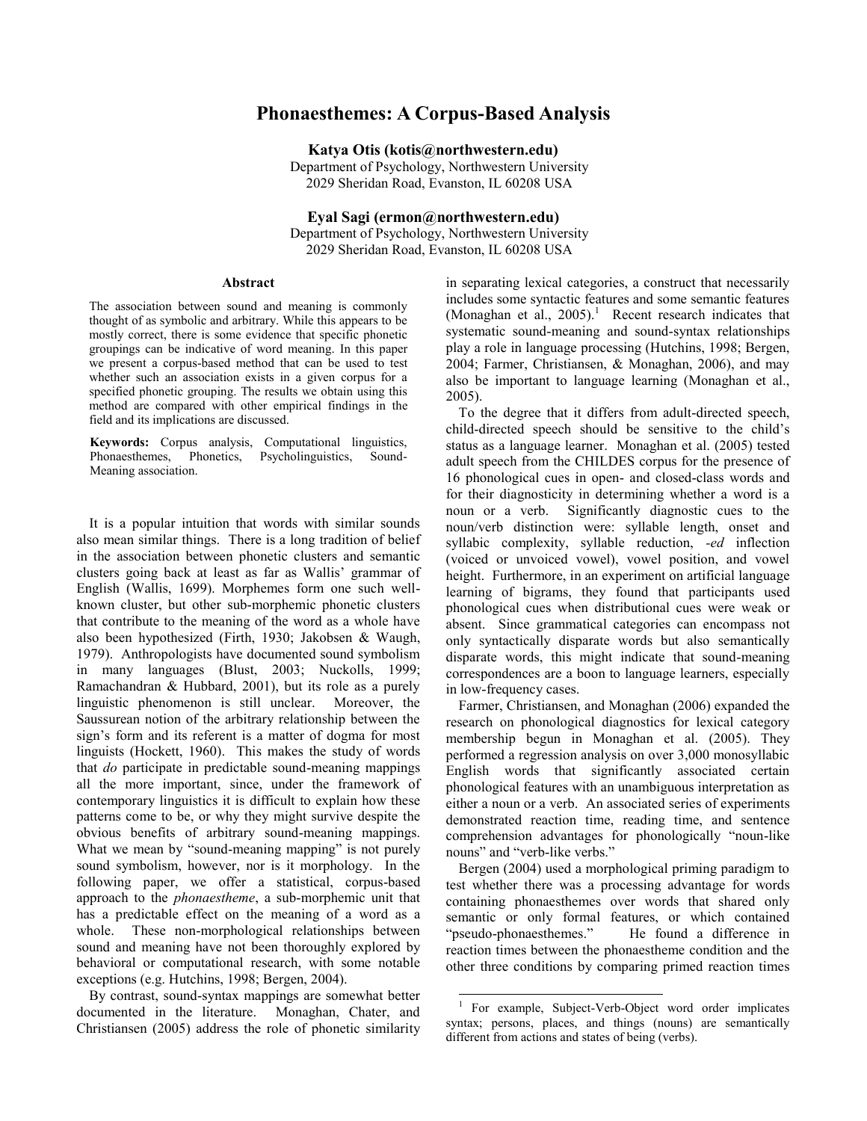# **Phonaesthemes: A Corpus-Based Analysis**

**Katya Otis (kotis@northwestern.edu)**

Department of Psychology, Northwestern University 2029 Sheridan Road, Evanston, IL 60208 USA

**Eyal Sagi (ermon@northwestern.edu)**

Department of Psychology, Northwestern University 2029 Sheridan Road, Evanston, IL 60208 USA

#### **Abstract**

The association between sound and meaning is commonly thought of as symbolic and arbitrary. While this appears to be mostly correct, there is some evidence that specific phonetic groupings can be indicative of word meaning. In this paper we present a corpus-based method that can be used to test whether such an association exists in a given corpus for a specified phonetic grouping. The results we obtain using this method are compared with other empirical findings in the field and its implications are discussed.

**Keywords:** Corpus analysis, Computational linguistics, Phonaesthemes, Phonetics, Psycholinguistics, Sound-Meaning association.

It is a popular intuition that words with similar sounds also mean similar things. There is a long tradition of belief in the association between phonetic clusters and semantic clusters going back at least as far as Wallis" grammar of English (Wallis, 1699). Morphemes form one such wellknown cluster, but other sub-morphemic phonetic clusters that contribute to the meaning of the word as a whole have also been hypothesized (Firth, 1930; Jakobsen & Waugh, 1979). Anthropologists have documented sound symbolism in many languages (Blust, 2003; Nuckolls, 1999; Ramachandran & Hubbard, 2001), but its role as a purely linguistic phenomenon is still unclear. Moreover, the Saussurean notion of the arbitrary relationship between the sign's form and its referent is a matter of dogma for most linguists (Hockett, 1960). This makes the study of words that *do* participate in predictable sound-meaning mappings all the more important, since, under the framework of contemporary linguistics it is difficult to explain how these patterns come to be, or why they might survive despite the obvious benefits of arbitrary sound-meaning mappings. What we mean by "sound-meaning mapping" is not purely sound symbolism, however, nor is it morphology. In the following paper, we offer a statistical, corpus-based approach to the *phonaestheme*, a sub-morphemic unit that has a predictable effect on the meaning of a word as a whole. These non-morphological relationships between sound and meaning have not been thoroughly explored by behavioral or computational research, with some notable exceptions (e.g. Hutchins, 1998; Bergen, 2004).

By contrast, sound-syntax mappings are somewhat better documented in the literature. Monaghan, Chater, and Christiansen (2005) address the role of phonetic similarity in separating lexical categories, a construct that necessarily includes some syntactic features and some semantic features (Monaghan et al.,  $2005$ ).<sup>1</sup> Recent research indicates that systematic sound-meaning and sound-syntax relationships play a role in language processing (Hutchins, 1998; Bergen, 2004; Farmer, Christiansen, & Monaghan, 2006), and may also be important to language learning (Monaghan et al., 2005).

To the degree that it differs from adult-directed speech, child-directed speech should be sensitive to the child"s status as a language learner. Monaghan et al. (2005) tested adult speech from the CHILDES corpus for the presence of 16 phonological cues in open- and closed-class words and for their diagnosticity in determining whether a word is a noun or a verb. Significantly diagnostic cues to the noun/verb distinction were: syllable length, onset and syllabic complexity, syllable reduction, *-ed* inflection (voiced or unvoiced vowel), vowel position, and vowel height. Furthermore, in an experiment on artificial language learning of bigrams, they found that participants used phonological cues when distributional cues were weak or absent. Since grammatical categories can encompass not only syntactically disparate words but also semantically disparate words, this might indicate that sound-meaning correspondences are a boon to language learners, especially in low-frequency cases.

Farmer, Christiansen, and Monaghan (2006) expanded the research on phonological diagnostics for lexical category membership begun in Monaghan et al. (2005). They performed a regression analysis on over 3,000 monosyllabic English words that significantly associated certain phonological features with an unambiguous interpretation as either a noun or a verb. An associated series of experiments demonstrated reaction time, reading time, and sentence comprehension advantages for phonologically "noun-like nouns" and "verb-like verbs."

Bergen (2004) used a morphological priming paradigm to test whether there was a processing advantage for words containing phonaesthemes over words that shared only semantic or only formal features, or which contained "pseudo-phonaesthemes." He found a difference in reaction times between the phonaestheme condition and the other three conditions by comparing primed reaction times

l

<sup>1</sup> For example, Subject-Verb-Object word order implicates syntax; persons, places, and things (nouns) are semantically different from actions and states of being (verbs).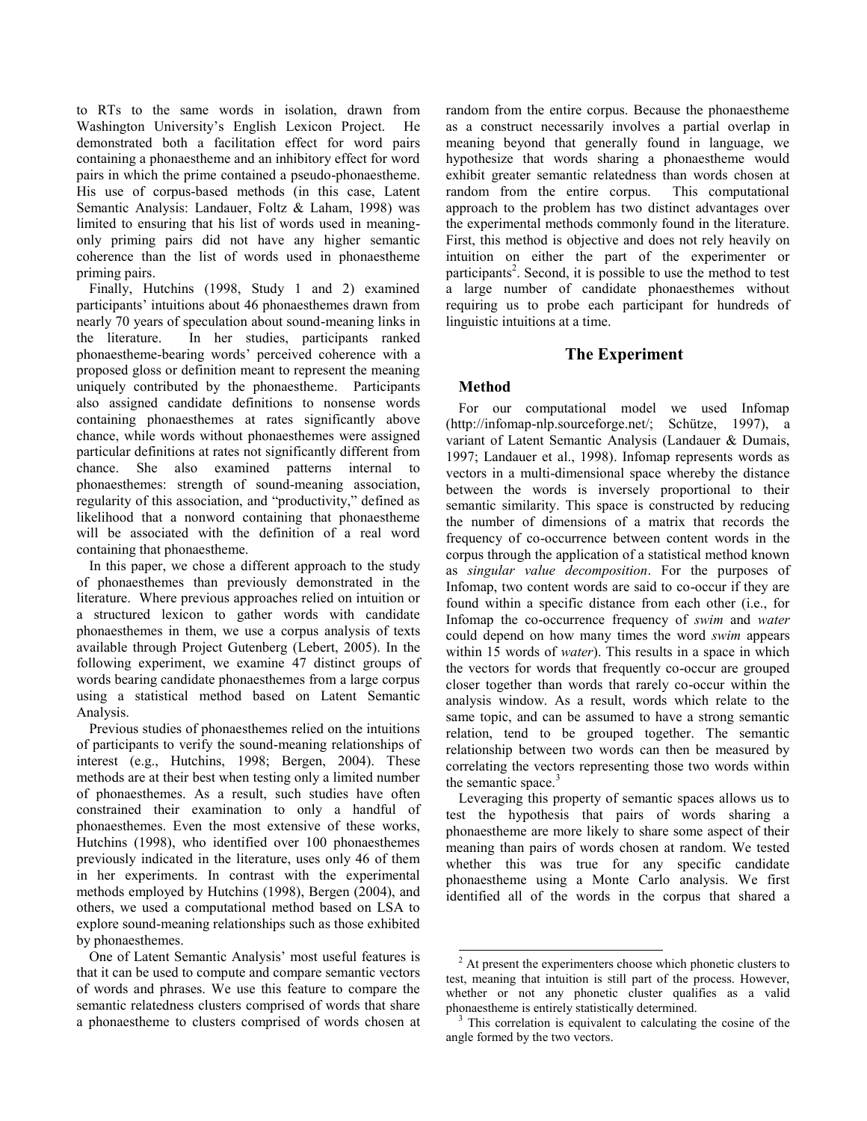to RTs to the same words in isolation, drawn from Washington University"s English Lexicon Project. He demonstrated both a facilitation effect for word pairs containing a phonaestheme and an inhibitory effect for word pairs in which the prime contained a pseudo-phonaestheme. His use of corpus-based methods (in this case, Latent Semantic Analysis: Landauer, Foltz & Laham, 1998) was limited to ensuring that his list of words used in meaningonly priming pairs did not have any higher semantic coherence than the list of words used in phonaestheme priming pairs.

Finally, Hutchins (1998, Study 1 and 2) examined participants' intuitions about 46 phonaesthemes drawn from nearly 70 years of speculation about sound-meaning links in the literature. In her studies, participants ranked phonaestheme-bearing words" perceived coherence with a proposed gloss or definition meant to represent the meaning uniquely contributed by the phonaestheme. Participants also assigned candidate definitions to nonsense words containing phonaesthemes at rates significantly above chance, while words without phonaesthemes were assigned particular definitions at rates not significantly different from chance. She also examined patterns internal to phonaesthemes: strength of sound-meaning association, regularity of this association, and "productivity," defined as likelihood that a nonword containing that phonaestheme will be associated with the definition of a real word containing that phonaestheme.

In this paper, we chose a different approach to the study of phonaesthemes than previously demonstrated in the literature. Where previous approaches relied on intuition or a structured lexicon to gather words with candidate phonaesthemes in them, we use a corpus analysis of texts available through Project Gutenberg (Lebert, 2005). In the following experiment, we examine 47 distinct groups of words bearing candidate phonaesthemes from a large corpus using a statistical method based on Latent Semantic Analysis.

Previous studies of phonaesthemes relied on the intuitions of participants to verify the sound-meaning relationships of interest (e.g., Hutchins, 1998; Bergen, 2004). These methods are at their best when testing only a limited number of phonaesthemes. As a result, such studies have often constrained their examination to only a handful of phonaesthemes. Even the most extensive of these works, Hutchins (1998), who identified over 100 phonaesthemes previously indicated in the literature, uses only 46 of them in her experiments. In contrast with the experimental methods employed by Hutchins (1998), Bergen (2004), and others, we used a computational method based on LSA to explore sound-meaning relationships such as those exhibited by phonaesthemes.

One of Latent Semantic Analysis' most useful features is that it can be used to compute and compare semantic vectors of words and phrases. We use this feature to compare the semantic relatedness clusters comprised of words that share a phonaestheme to clusters comprised of words chosen at random from the entire corpus. Because the phonaestheme as a construct necessarily involves a partial overlap in meaning beyond that generally found in language, we hypothesize that words sharing a phonaestheme would exhibit greater semantic relatedness than words chosen at random from the entire corpus. This computational approach to the problem has two distinct advantages over the experimental methods commonly found in the literature. First, this method is objective and does not rely heavily on intuition on either the part of the experimenter or participants<sup>2</sup>. Second, it is possible to use the method to test a large number of candidate phonaesthemes without requiring us to probe each participant for hundreds of linguistic intuitions at a time.

## **The Experiment**

## **Method**

For our computational model we used Infomap (http://infomap-nlp.sourceforge.net/; Schütze, 1997), a variant of Latent Semantic Analysis (Landauer & Dumais, 1997; Landauer et al., 1998). Infomap represents words as vectors in a multi-dimensional space whereby the distance between the words is inversely proportional to their semantic similarity. This space is constructed by reducing the number of dimensions of a matrix that records the frequency of co-occurrence between content words in the corpus through the application of a statistical method known as *singular value decomposition*. For the purposes of Infomap, two content words are said to co-occur if they are found within a specific distance from each other (i.e., for Infomap the co-occurrence frequency of *swim* and *water*  could depend on how many times the word *swim* appears within 15 words of *water*). This results in a space in which the vectors for words that frequently co-occur are grouped closer together than words that rarely co-occur within the analysis window. As a result, words which relate to the same topic, and can be assumed to have a strong semantic relation, tend to be grouped together. The semantic relationship between two words can then be measured by correlating the vectors representing those two words within the semantic space. $3$ 

Leveraging this property of semantic spaces allows us to test the hypothesis that pairs of words sharing a phonaestheme are more likely to share some aspect of their meaning than pairs of words chosen at random. We tested whether this was true for any specific candidate phonaestheme using a Monte Carlo analysis. We first identified all of the words in the corpus that shared a

 $\overline{a}$  $2<sup>2</sup>$  At present the experimenters choose which phonetic clusters to test, meaning that intuition is still part of the process. However, whether or not any phonetic cluster qualifies as a valid phonaestheme is entirely statistically determined.

 $3$  This correlation is equivalent to calculating the cosine of the angle formed by the two vectors.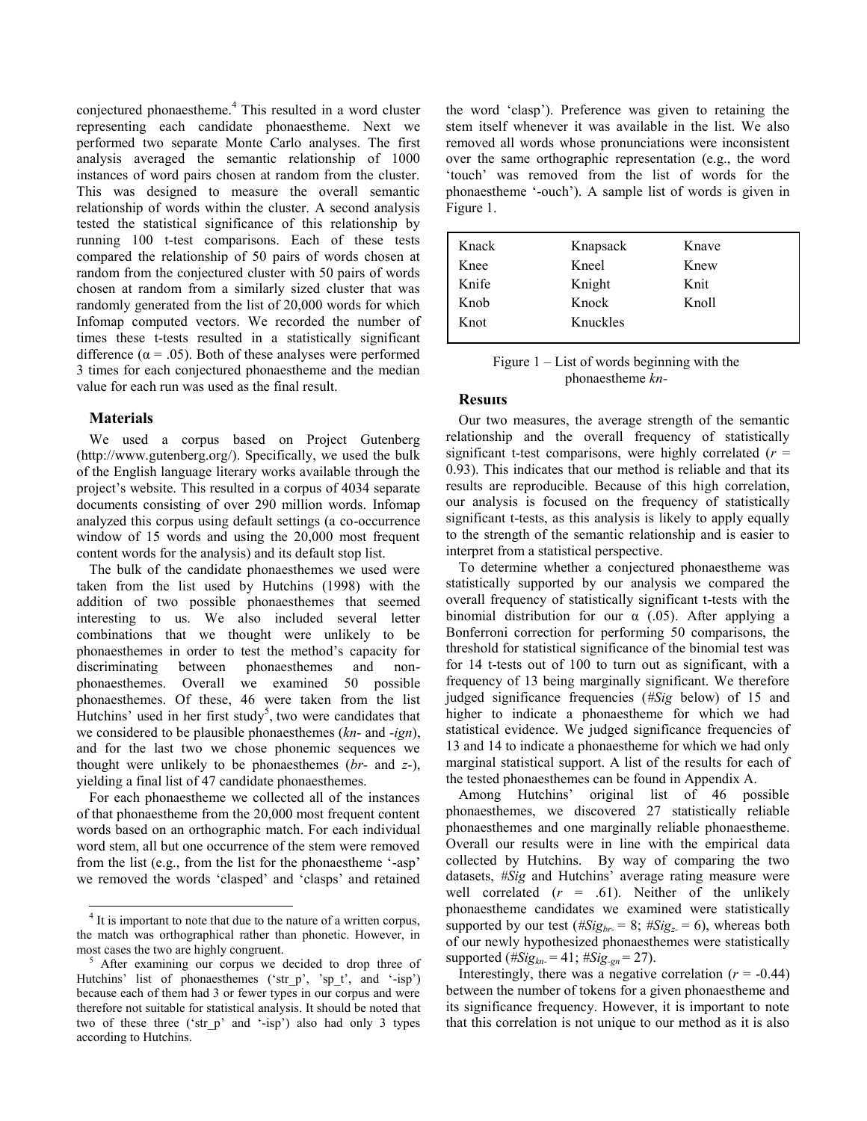conjectured phonaestheme. <sup>4</sup> This resulted in a word cluster representing each candidate phonaestheme. Next we performed two separate Monte Carlo analyses. The first analysis averaged the semantic relationship of 1000 instances of word pairs chosen at random from the cluster. This was designed to measure the overall semantic relationship of words within the cluster. A second analysis tested the statistical significance of this relationship by running 100 t-test comparisons. Each of these tests compared the relationship of 50 pairs of words chosen at random from the conjectured cluster with 50 pairs of words chosen at random from a similarly sized cluster that was randomly generated from the list of 20,000 words for which Infomap computed vectors. We recorded the number of times these t-tests resulted in a statistically significant difference ( $\alpha$  = .05). Both of these analyses were performed 3 times for each conjectured phonaestheme and the median value for each run was used as the final result.

### **Materials**

 $\overline{a}$ 

We used a corpus based on Project Gutenberg (http://www.gutenberg.org/). Specifically, we used the bulk of the English language literary works available through the project's website. This resulted in a corpus of 4034 separate documents consisting of over 290 million words. Infomap analyzed this corpus using default settings (a co-occurrence window of 15 words and using the 20,000 most frequent content words for the analysis) and its default stop list.

The bulk of the candidate phonaesthemes we used were taken from the list used by Hutchins (1998) with the addition of two possible phonaesthemes that seemed interesting to us. We also included several letter combinations that we thought were unlikely to be phonaesthemes in order to test the method"s capacity for discriminating between phonaesthemes and nonphonaesthemes. Overall we examined 50 possible phonaesthemes. Of these, 46 were taken from the list Hutchins' used in her first study<sup>5</sup>, two were candidates that we considered to be plausible phonaesthemes (*kn-* and *-ign*), and for the last two we chose phonemic sequences we thought were unlikely to be phonaesthemes (*br-* and *z-*), yielding a final list of 47 candidate phonaesthemes.

For each phonaestheme we collected all of the instances of that phonaestheme from the 20,000 most frequent content words based on an orthographic match. For each individual word stem, all but one occurrence of the stem were removed from the list (e.g., from the list for the phonaestheme '-asp' we removed the words "clasped" and "clasps" and retained the word "clasp"). Preference was given to retaining the stem itself whenever it was available in the list. We also removed all words whose pronunciations were inconsistent over the same orthographic representation (e.g., the word "touch" was removed from the list of words for the phonaestheme "-ouch"). A sample list of words is given in Figure 1.

| Kneel    | Knew  |
|----------|-------|
| Knight   | Knit  |
| Knock    | Knoll |
| Knuckles |       |
|          |       |

| Figure $1 -$ List of words beginning with the |  |  |
|-----------------------------------------------|--|--|
| phonaestheme kn-                              |  |  |

### **Results**

Our two measures, the average strength of the semantic relationship and the overall frequency of statistically significant t-test comparisons, were highly correlated  $(r =$ 0.93). This indicates that our method is reliable and that its results are reproducible. Because of this high correlation, our analysis is focused on the frequency of statistically significant t-tests, as this analysis is likely to apply equally to the strength of the semantic relationship and is easier to interpret from a statistical perspective.

To determine whether a conjectured phonaestheme was statistically supported by our analysis we compared the overall frequency of statistically significant t-tests with the binomial distribution for our  $\alpha$  (.05). After applying a Bonferroni correction for performing 50 comparisons, the threshold for statistical significance of the binomial test was for 14 t-tests out of 100 to turn out as significant, with a frequency of 13 being marginally significant. We therefore judged significance frequencies (*#Sig* below) of 15 and higher to indicate a phonaestheme for which we had statistical evidence. We judged significance frequencies of 13 and 14 to indicate a phonaestheme for which we had only marginal statistical support. A list of the results for each of the tested phonaesthemes can be found in Appendix A.

Among Hutchins" original list of 46 possible phonaesthemes, we discovered 27 statistically reliable phonaesthemes and one marginally reliable phonaestheme. Overall our results were in line with the empirical data collected by Hutchins. By way of comparing the two datasets, #Sig and Hutchins' average rating measure were well correlated  $(r = .61)$ . Neither of the unlikely phonaestheme candidates we examined were statistically supported by our test ( $\#Sig_{br} = 8$ ;  $\#Sig_{z} = 6$ ), whereas both of our newly hypothesized phonaesthemes were statistically supported ( $#Sig_{kn} = 41$ ;  $#Sig_{qn} = 27$ ).

Interestingly, there was a negative correlation  $(r = -0.44)$ between the number of tokens for a given phonaestheme and its significance frequency. However, it is important to note that this correlation is not unique to our method as it is also

 $4$  It is important to note that due to the nature of a written corpus, the match was orthographical rather than phonetic. However, in most cases the two are highly congruent.

<sup>5</sup> After examining our corpus we decided to drop three of Hutchins' list of phonaesthemes ('str p', 'sp\_t', and '-isp') because each of them had 3 or fewer types in our corpus and were therefore not suitable for statistical analysis. It should be noted that two of these three ('str p' and '-isp') also had only 3 types according to Hutchins.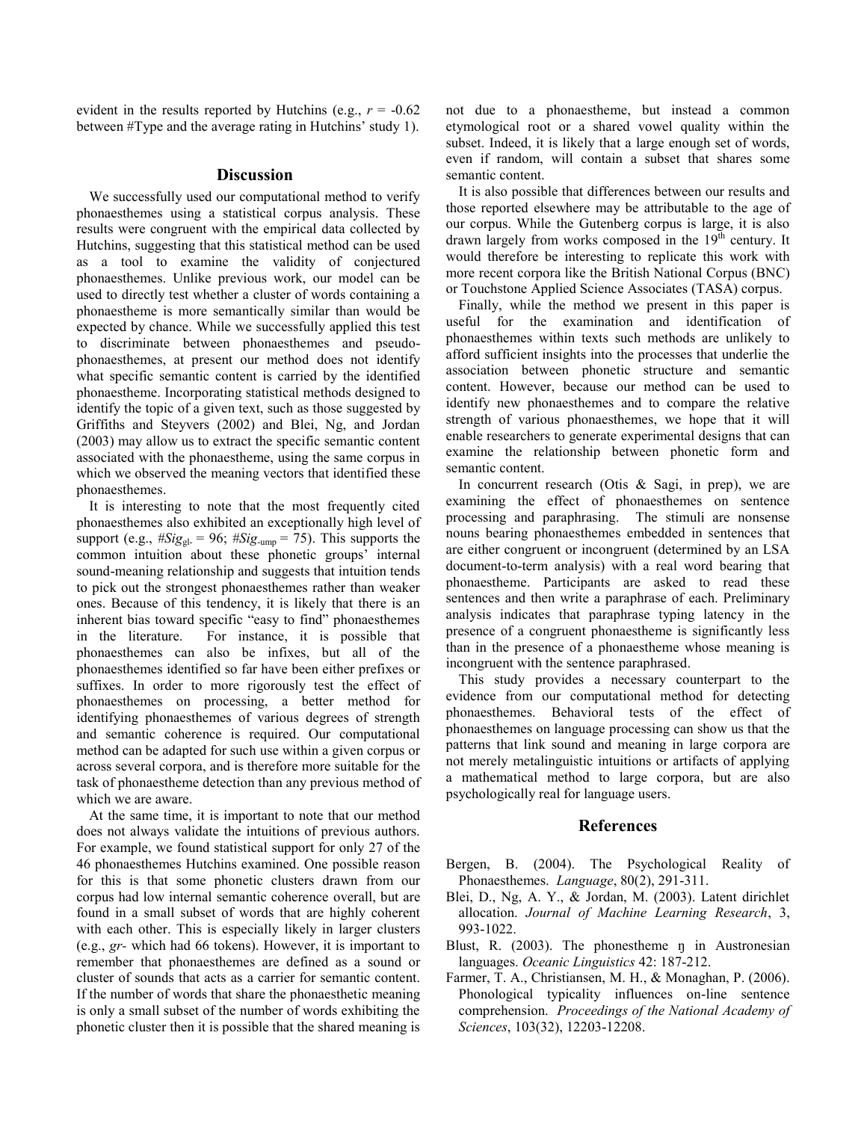evident in the results reported by Hutchins (e.g.,  $r = -0.62$ ) between #Type and the average rating in Hutchins' study 1).

### **Discussion**

We successfully used our computational method to verify phonaesthemes using a statistical corpus analysis. These results were congruent with the empirical data collected by Hutchins, suggesting that this statistical method can be used as a tool to examine the validity of conjectured phonaesthemes. Unlike previous work, our model can be used to directly test whether a cluster of words containing a phonaestheme is more semantically similar than would be expected by chance. While we successfully applied this test to discriminate between phonaesthemes and pseudophonaesthemes, at present our method does not identify what specific semantic content is carried by the identified phonaestheme. Incorporating statistical methods designed to identify the topic of a given text, such as those suggested by Griffiths and Steyvers (2002) and Blei, Ng, and Jordan (2003) may allow us to extract the specific semantic content associated with the phonaestheme, using the same corpus in which we observed the meaning vectors that identified these phonaesthemes.

It is interesting to note that the most frequently cited phonaesthemes also exhibited an exceptionally high level of support (e.g.,  $\#Sig_{gl} = 96$ ;  $\#Sig_{ump} = 75$ ). This supports the common intuition about these phonetic groups' internal sound-meaning relationship and suggests that intuition tends to pick out the strongest phonaesthemes rather than weaker ones. Because of this tendency, it is likely that there is an inherent bias toward specific "easy to find" phonaesthemes in the literature. For instance, it is possible that phonaesthemes can also be infixes, but all of the phonaesthemes identified so far have been either prefixes or suffixes. In order to more rigorously test the effect of phonaesthemes on processing, a better method for identifying phonaesthemes of various degrees of strength and semantic coherence is required. Our computational method can be adapted for such use within a given corpus or across several corpora, and is therefore more suitable for the task of phonaestheme detection than any previous method of which we are aware.

At the same time, it is important to note that our method does not always validate the intuitions of previous authors. For example, we found statistical support for only 27 of the 46 phonaesthemes Hutchins examined. One possible reason for this is that some phonetic clusters drawn from our corpus had low internal semantic coherence overall, but are found in a small subset of words that are highly coherent with each other. This is especially likely in larger clusters (e.g., *gr-* which had 66 tokens). However, it is important to remember that phonaesthemes are defined as a sound or cluster of sounds that acts as a carrier for semantic content. If the number of words that share the phonaesthetic meaning is only a small subset of the number of words exhibiting the phonetic cluster then it is possible that the shared meaning is not due to a phonaestheme, but instead a common etymological root or a shared vowel quality within the subset. Indeed, it is likely that a large enough set of words, even if random, will contain a subset that shares some semantic content.

It is also possible that differences between our results and those reported elsewhere may be attributable to the age of our corpus. While the Gutenberg corpus is large, it is also drawn largely from works composed in the  $19<sup>th</sup>$  century. It would therefore be interesting to replicate this work with more recent corpora like the British National Corpus (BNC) or Touchstone Applied Science Associates (TASA) corpus.

Finally, while the method we present in this paper is useful for the examination and identification of phonaesthemes within texts such methods are unlikely to afford sufficient insights into the processes that underlie the association between phonetic structure and semantic content. However, because our method can be used to identify new phonaesthemes and to compare the relative strength of various phonaesthemes, we hope that it will enable researchers to generate experimental designs that can examine the relationship between phonetic form and semantic content.

In concurrent research (Otis  $\&$  Sagi, in prep), we are examining the effect of phonaesthemes on sentence processing and paraphrasing. The stimuli are nonsense nouns bearing phonaesthemes embedded in sentences that are either congruent or incongruent (determined by an LSA document-to-term analysis) with a real word bearing that phonaestheme. Participants are asked to read these sentences and then write a paraphrase of each. Preliminary analysis indicates that paraphrase typing latency in the presence of a congruent phonaestheme is significantly less than in the presence of a phonaestheme whose meaning is incongruent with the sentence paraphrased.

This study provides a necessary counterpart to the evidence from our computational method for detecting phonaesthemes. Behavioral tests of the effect of phonaesthemes on language processing can show us that the patterns that link sound and meaning in large corpora are not merely metalinguistic intuitions or artifacts of applying a mathematical method to large corpora, but are also psychologically real for language users.

### **References**

- Bergen, B. (2004). The Psychological Reality of Phonaesthemes. *Language*, 80(2), 291-311.
- Blei, D., Ng, A. Y., & Jordan, M. (2003). Latent dirichlet allocation. *Journal of Machine Learning Research*, 3, 993-1022.
- Blust, R. (2003). The phonestheme n in Austronesian languages. *Oceanic Linguistics* 42: 187-212.
- Farmer, T. A., Christiansen, M. H., & Monaghan, P. (2006). Phonological typicality influences on-line sentence comprehension. *Proceedings of the National Academy of Sciences*, 103(32), 12203-12208.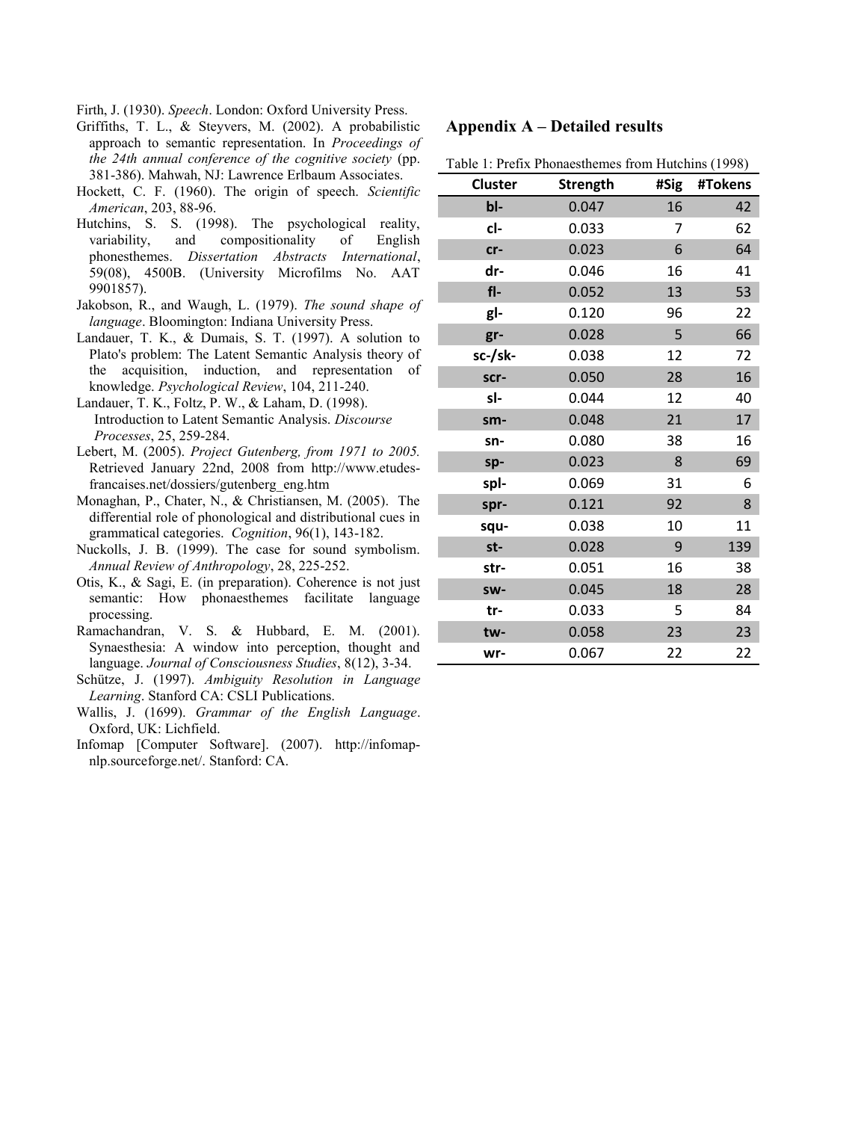Firth, J. (1930). *Speech*. London: Oxford University Press.

- Griffiths, T. L., & Steyvers, M. (2002). A probabilistic approach to semantic representation. In *Proceedings of the 24th annual conference of the cognitive society* (pp. 381-386). Mahwah, NJ: Lawrence Erlbaum Associates.
- Hockett, C. F. (1960). The origin of speech. *Scientific American*, 203, 88-96.
- Hutchins, S. S. (1998). The psychological reality, variability, and compositionality of English phonesthemes. *Dissertation Abstracts International*, 59(08), 4500B. (University Microfilms No. AAT 9901857).
- Jakobson, R., and Waugh, L. (1979). *The sound shape of language*. Bloomington: Indiana University Press.
- Landauer, T. K., & Dumais, S. T. (1997). A solution to Plato's problem: The Latent Semantic Analysis theory of the acquisition, induction, and representation of knowledge. *Psychological Review*, 104, 211-240.
- Landauer, T. K., Foltz, P. W., & Laham, D. (1998). Introduction to Latent Semantic Analysis. *Discourse Processes*, 25, 259-284.
- Lebert, M. (2005). *Project Gutenberg, from 1971 to 2005.* Retrieved January 22nd, 2008 from http://www.etudesfrancaises.net/dossiers/gutenberg\_eng.htm
- Monaghan, P., Chater, N., & Christiansen, M. (2005). The differential role of phonological and distributional cues in grammatical categories. *Cognition*, 96(1), 143-182.
- Nuckolls, J. B. (1999). The case for sound symbolism. *Annual Review of Anthropology*, 28, 225-252.
- Otis, K., & Sagi, E. (in preparation). Coherence is not just semantic: How phonaesthemes facilitate language processing.
- Ramachandran, V. S. & Hubbard, E. M. (2001). Synaesthesia: A window into perception, thought and language. *Journal of Consciousness Studies*, 8(12), 3-34.
- Schütze, J. (1997). *Ambiguity Resolution in Language Learning*. Stanford CA: CSLI Publications.
- Wallis, J. (1699). *Grammar of the English Language*. Oxford, UK: Lichfield.
- Infomap [Computer Software]. (2007). http://infomapnlp.sourceforge.net/. Stanford: CA.

## **Appendix A – Detailed results**

Table 1: Prefix Phonaesthemes from Hutchins (1998)

| Cluster | <b>Strength</b> | #Sig | #Tokens |
|---------|-----------------|------|---------|
| bl-     | 0.047           | 16   | 42      |
| cl-     | 0.033           | 7    | 62      |
| $cr-$   | 0.023           | 6    | 64      |
| dr-     | 0.046           | 16   | 41      |
| fl-     | 0.052           | 13   | 53      |
| gl-     | 0.120           | 96   | 22      |
| gr-     | 0.028           | 5    | 66      |
| sc-/sk- | 0.038           | 12   | 72      |
| scr-    | 0.050           | 28   | 16      |
| sl-     | 0.044           | 12   | 40      |
| sm-     | 0.048           | 21   | 17      |
| sn-     | 0.080           | 38   | 16      |
| sp-     | 0.023           | 8    | 69      |
| spl-    | 0.069           | 31   | 6       |
| spr-    | 0.121           | 92   | 8       |
| squ-    | 0.038           | 10   | 11      |
| st-     | 0.028           | 9    | 139     |
| str-    | 0.051           | 16   | 38      |
| sw-     | 0.045           | 18   | 28      |
| tr-     | 0.033           | 5    | 84      |
| tw-     | 0.058           | 23   | 23      |
| wr-     | 0.067           | 22   | 22      |